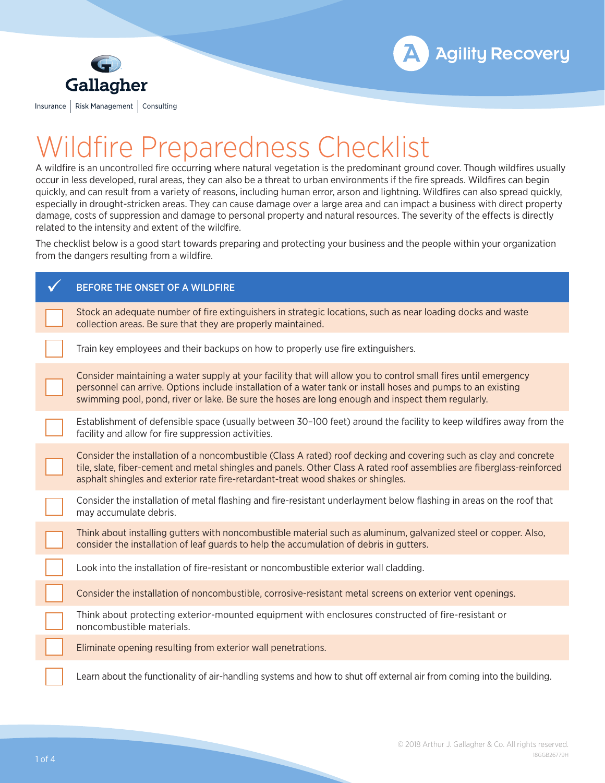



## Wildfire Preparedness Checklist

A wildfire is an uncontrolled fire occurring where natural vegetation is the predominant ground cover. Though wildfires usually occur in less developed, rural areas, they can also be a threat to urban environments if the fire spreads. Wildfires can begin quickly, and can result from a variety of reasons, including human error, arson and lightning. Wildfires can also spread quickly, especially in drought-stricken areas. They can cause damage over a large area and can impact a business with direct property damage, costs of suppression and damage to personal property and natural resources. The severity of the effects is directly related to the intensity and extent of the wildfire.

The checklist below is a good start towards preparing and protecting your business and the people within your organization from the dangers resulting from a wildfire.

| BEFORE THE ONSET OF A WILDFIRE                                                                                                                                                                                                                                                                                                       |
|--------------------------------------------------------------------------------------------------------------------------------------------------------------------------------------------------------------------------------------------------------------------------------------------------------------------------------------|
| Stock an adequate number of fire extinguishers in strategic locations, such as near loading docks and waste<br>collection areas. Be sure that they are properly maintained.                                                                                                                                                          |
| Train key employees and their backups on how to properly use fire extinguishers.                                                                                                                                                                                                                                                     |
| Consider maintaining a water supply at your facility that will allow you to control small fires until emergency<br>personnel can arrive. Options include installation of a water tank or install hoses and pumps to an existing<br>swimming pool, pond, river or lake. Be sure the hoses are long enough and inspect them regularly. |
| Establishment of defensible space (usually between 30-100 feet) around the facility to keep wildfires away from the<br>facility and allow for fire suppression activities.                                                                                                                                                           |
| Consider the installation of a noncombustible (Class A rated) roof decking and covering such as clay and concrete<br>tile, slate, fiber-cement and metal shingles and panels. Other Class A rated roof assemblies are fiberglass-reinforced<br>asphalt shingles and exterior rate fire-retardant-treat wood shakes or shingles.      |
| Consider the installation of metal flashing and fire-resistant underlayment below flashing in areas on the roof that<br>may accumulate debris.                                                                                                                                                                                       |
| Think about installing gutters with noncombustible material such as aluminum, galvanized steel or copper. Also,<br>consider the installation of leaf guards to help the accumulation of debris in gutters.                                                                                                                           |
| Look into the installation of fire-resistant or noncombustible exterior wall cladding.                                                                                                                                                                                                                                               |
| Consider the installation of noncombustible, corrosive-resistant metal screens on exterior vent openings.                                                                                                                                                                                                                            |
| Think about protecting exterior-mounted equipment with enclosures constructed of fire-resistant or<br>noncombustible materials.                                                                                                                                                                                                      |
| Eliminate opening resulting from exterior wall penetrations.                                                                                                                                                                                                                                                                         |
| Learn about the functionality of air-handling systems and how to shut off external air from coming into the building.                                                                                                                                                                                                                |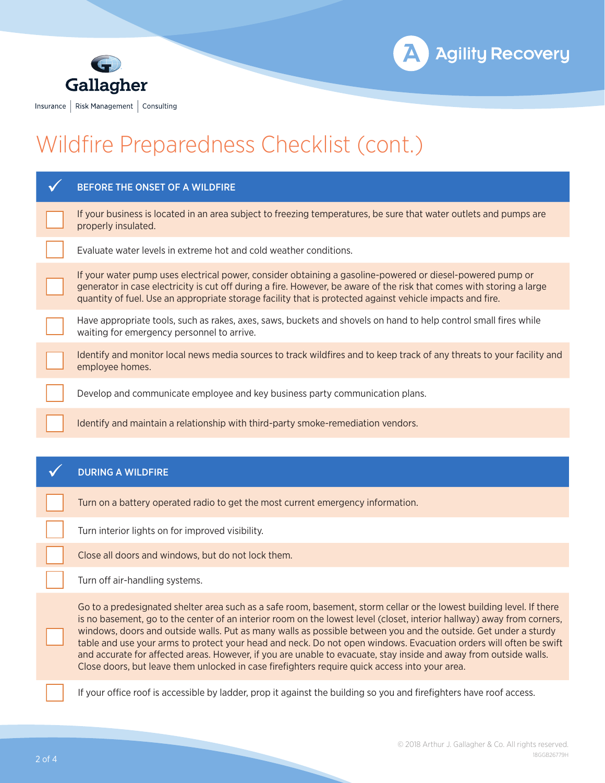



## Wildfire Preparedness Checklist (cont.)

| BEFORE THE ONSET OF A WILDFIRE                                                                                                                                                                                                                                                                                                                                                                                                                                                                                                                                                                                                                                                                                 |
|----------------------------------------------------------------------------------------------------------------------------------------------------------------------------------------------------------------------------------------------------------------------------------------------------------------------------------------------------------------------------------------------------------------------------------------------------------------------------------------------------------------------------------------------------------------------------------------------------------------------------------------------------------------------------------------------------------------|
| If your business is located in an area subject to freezing temperatures, be sure that water outlets and pumps are<br>properly insulated.                                                                                                                                                                                                                                                                                                                                                                                                                                                                                                                                                                       |
| Evaluate water levels in extreme hot and cold weather conditions.                                                                                                                                                                                                                                                                                                                                                                                                                                                                                                                                                                                                                                              |
| If your water pump uses electrical power, consider obtaining a gasoline-powered or diesel-powered pump or<br>generator in case electricity is cut off during a fire. However, be aware of the risk that comes with storing a large<br>quantity of fuel. Use an appropriate storage facility that is protected against vehicle impacts and fire.                                                                                                                                                                                                                                                                                                                                                                |
| Have appropriate tools, such as rakes, axes, saws, buckets and shovels on hand to help control small fires while<br>waiting for emergency personnel to arrive.                                                                                                                                                                                                                                                                                                                                                                                                                                                                                                                                                 |
| Identify and monitor local news media sources to track wildfires and to keep track of any threats to your facility and<br>employee homes.                                                                                                                                                                                                                                                                                                                                                                                                                                                                                                                                                                      |
| Develop and communicate employee and key business party communication plans.                                                                                                                                                                                                                                                                                                                                                                                                                                                                                                                                                                                                                                   |
| Identify and maintain a relationship with third-party smoke-remediation vendors.                                                                                                                                                                                                                                                                                                                                                                                                                                                                                                                                                                                                                               |
|                                                                                                                                                                                                                                                                                                                                                                                                                                                                                                                                                                                                                                                                                                                |
|                                                                                                                                                                                                                                                                                                                                                                                                                                                                                                                                                                                                                                                                                                                |
| <b>DURING A WILDFIRE</b>                                                                                                                                                                                                                                                                                                                                                                                                                                                                                                                                                                                                                                                                                       |
| Turn on a battery operated radio to get the most current emergency information.                                                                                                                                                                                                                                                                                                                                                                                                                                                                                                                                                                                                                                |
| Turn interior lights on for improved visibility.                                                                                                                                                                                                                                                                                                                                                                                                                                                                                                                                                                                                                                                               |
| Close all doors and windows, but do not lock them.                                                                                                                                                                                                                                                                                                                                                                                                                                                                                                                                                                                                                                                             |
| Turn off air-handling systems.                                                                                                                                                                                                                                                                                                                                                                                                                                                                                                                                                                                                                                                                                 |
| Go to a predesignated shelter area such as a safe room, basement, storm cellar or the lowest building level. If there<br>is no basement, go to the center of an interior room on the lowest level (closet, interior hallway) away from corners,<br>windows, doors and outside walls. Put as many walls as possible between you and the outside. Get under a sturdy<br>table and use your arms to protect your head and neck. Do not open windows. Evacuation orders will often be swift<br>and accurate for affected areas. However, if you are unable to evacuate, stay inside and away from outside walls.<br>Close doors, but leave them unlocked in case firefighters require quick access into your area. |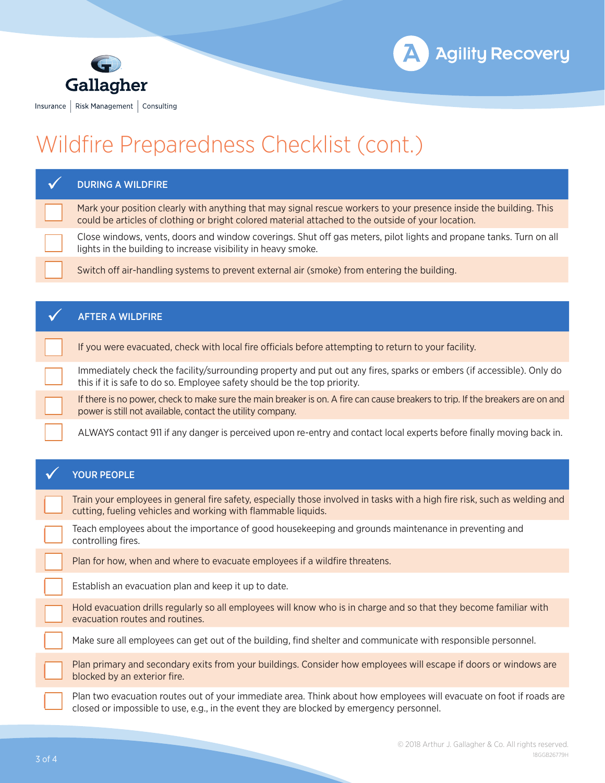



## Wildfire Preparedness Checklist (cont.)

| <b>DURING A WILDFIRE</b>                                                                                                                                                                                                 |
|--------------------------------------------------------------------------------------------------------------------------------------------------------------------------------------------------------------------------|
| Mark your position clearly with anything that may signal rescue workers to your presence inside the building. This<br>could be articles of clothing or bright colored material attached to the outside of your location. |
| Close windows, vents, doors and window coverings. Shut off gas meters, pilot lights and propane tanks. Turn on all<br>lights in the building to increase visibility in heavy smoke.                                      |
| Switch off air-handling systems to prevent external air (smoke) from entering the building.                                                                                                                              |
|                                                                                                                                                                                                                          |
| <b>AFTER A WILDFIRE</b>                                                                                                                                                                                                  |
| If you were evacuated, check with local fire officials before attempting to return to your facility.                                                                                                                     |
| Immediately check the facility/surrounding property and put out any fires, sparks or embers (if accessible). Only do<br>this if it is safe to do so. Employee safety should be the top priority.                         |
| If there is no power, check to make sure the main breaker is on. A fire can cause breakers to trip. If the breakers are on and<br>power is still not available, contact the utility company.                             |
| ALWAYS contact 911 if any danger is perceived upon re-entry and contact local experts before finally moving back in.                                                                                                     |
|                                                                                                                                                                                                                          |
|                                                                                                                                                                                                                          |
| <b>YOUR PEOPLE</b>                                                                                                                                                                                                       |
| Train your employees in general fire safety, especially those involved in tasks with a high fire risk, such as welding and<br>cutting, fueling vehicles and working with flammable liquids.                              |
| Teach employees about the importance of good housekeeping and grounds maintenance in preventing and<br>controlling fires.                                                                                                |
| Plan for how, when and where to evacuate employees if a wildfire threatens.                                                                                                                                              |
| Establish an evacuation plan and keep it up to date.                                                                                                                                                                     |
| Hold evacuation drills regularly so all employees will know who is in charge and so that they become familiar with<br>evacuation routes and routines.                                                                    |
| Make sure all employees can get out of the building, find shelter and communicate with responsible personnel.                                                                                                            |
| Plan primary and secondary exits from your buildings. Consider how employees will escape if doors or windows are<br>blocked by an exterior fire.                                                                         |